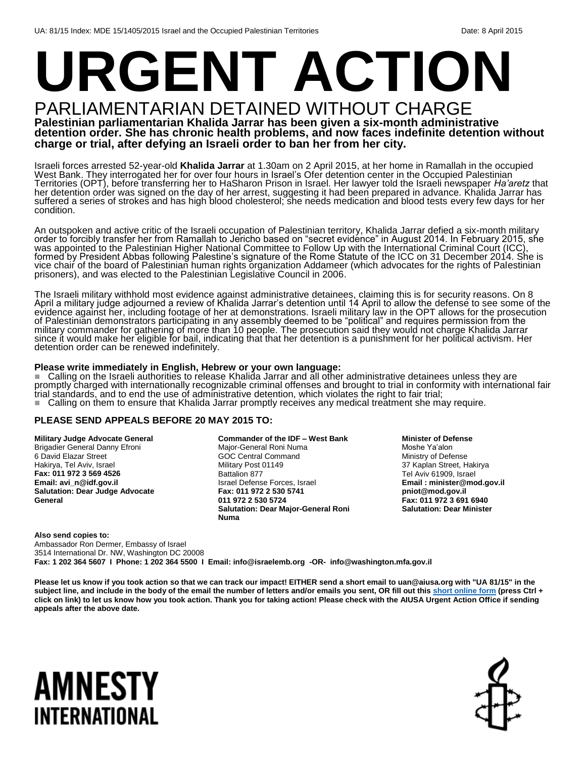## **URGENT ACTION** PARLIAMENTARIAN DETAINED WITHOUT CHARGE

**Palestinian parliamentarian Khalida Jarrar has been given a six-month administrative detention order. She has chronic health problems, and now faces indefinite detention without charge or trial, after defying an Israeli order to ban her from her city.**

Israeli forces arrested 52-year-old **Khalida Jarrar** at 1.30am on 2 April 2015, at her home in Ramallah in the occupied West Bank. They interrogated her for over four hours in Israel's Ofer detention center in the Occupied Palestinian Territories (OPT), before transferring her to HaSharon Prison in Israel. Her lawyer told the Israeli newspaper *Ha'aretz* that her detention order was signed on the day of her arrest, suggesting it had been prepared in advance. Khalida Jarrar has suffered a series of strokes and has high blood cholesterol; she needs medication and blood tests every few days for her condition.

An outspoken and active critic of the Israeli occupation of Palestinian territory, Khalida Jarrar defied a six-month military order to forcibly transfer her from Ramallah to Jericho based on "secret evidence" in August 2014. In February 2015, she was appointed to the Palestinian Higher National Committee to Follow Up with the International Criminal Court (ICC), formed by President Abbas following Palestine's signature of the Rome Statute of the ICC on 31 December 2014. She is vice chair of the board of Palestinian human rights organization Addameer (which advocates for the rights of Palestinian prisoners), and was elected to the Palestinian Legislative Council in 2006.

The Israeli military withhold most evidence against administrative detainees, claiming this is for security reasons. On 8 April a military judge adjourned a review of Khalida Jarrar's detention until 14 April to allow the defense to see some of the evidence against her, including footage of her at demonstrations. Israeli military law in the OPT allows for the prosecution of Palestinian demonstrators participating in any assembly deemed to be "political" and requires permission from the military commander for gathering of more than 10 people. The prosecution said they would not charge Khalida Jarrar since it would make her eligible for bail, indicating that that her detention is a punishment for her political activism. Her detention order can be renewed indefinitely.

### **Please write immediately in English, Hebrew or your own language:**

■ Calling on the Israeli authorities to release Khalida Jarrar and all other administrative detainees unless they are promptly charged with internationally recognizable criminal offenses and brought to trial in conformity with international fair trial standards, and to end the use of administrative detention, which violates the right to fair trial; Calling on them to ensure that Khalida Jarrar promptly receives any medical treatment she may require.

### **PLEASE SEND APPEALS BEFORE 20 MAY 2015 TO:**

**Military Judge Advocate General** Brigadier General Danny Efroni 6 David Elazar Street Hakirya, Tel Aviv, Israel **Fax: 011 972 3 569 4526 Email: avi\_n@idf.gov.il Salutation: Dear Judge Advocate General** 

**Commander of the IDF – West Bank** Major-General Roni Numa GOC Central Command Military Post 01149 Battalion 877 Israel Defense Forces, Israel **Fax: 011 972 2 530 5741 011 972 2 530 5724 Salutation: Dear Major-General Roni Numa** 

**Minister of Defense**

Moshe Ya'alon Ministry of Defense 37 Kaplan Street, Hakirya Tel Aviv 61909, Israel **Email : minister@mod.gov.il pniot@mod.gov.il Fax: 011 972 3 691 6940 Salutation: Dear Minister**

**Also send copies to:** Ambassador Ron Dermer, Embassy of Israel 3514 International Dr. NW, Washington DC 20008 **Fax: 1 202 364 5607 I Phone: 1 202 364 5500 I Email: info@israelemb.org -OR- info@washington.mfa.gov.il**

**Please let us know if you took action so that we can track our impact! EITHER send a short email to uan@aiusa.org with "UA 81/15" in the**  subject line, and include in the body of the email the number of letters and/or emails you sent, OR fill out thi[s short online form](https://www.surveymonkey.com/s/H3KMKX6) (press Ctrl + **click on link) to let us know how you took action. Thank you for taking action! Please check with the AIUSA Urgent Action Office if sending appeals after the above date.**